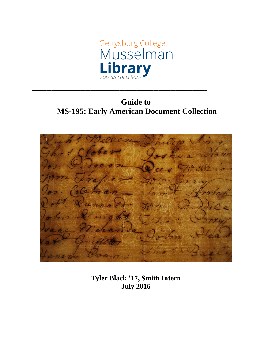

# **Guide to MS-195: Early American Document Collection**

**\_\_\_\_\_\_\_\_\_\_\_\_\_\_\_\_\_\_\_\_\_\_\_\_\_\_\_\_\_\_\_\_\_\_\_\_\_\_\_\_\_\_\_\_\_\_\_\_\_\_\_\_\_\_\_\_\_\_\_\_\_\_\_\_\_\_\_\_\_\_\_\_**



**Tyler Black '17, Smith Intern July 2016**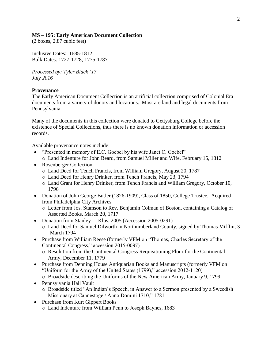### **MS – 195: Early American Document Collection**

(2 boxes, 2.87 cubic feet)

Inclusive Dates: 1685-1812 Bulk Dates: 1727-1728; 1775-1787

*Processed by: Tyler Black '17 July 2016*

### **Provenance**

The Early American Document Collection is an artificial collection comprised of Colonial Era documents from a variety of donors and locations. Most are land and legal documents from Pennsylvania.

Many of the documents in this collection were donated to Gettysburg College before the existence of Special Collections, thus there is no known donation information or accession records.

Available provenance notes include:

- "Presented in memory of E.C. Goebel by his wife Janet C. Goebel"
	- o Land Indenture for John Beard, from Samuel Miller and Wife, February 15, 1812
- Rosenberger Collection
	- o Land Deed for Tench Francis, from William Gregory, August 20, 1787
	- o Land Deed for Henry Drinker, from Tench Francis, May 23, 1794
	- o Land Grant for Henry Drinker, from Tench Francis and William Gregory, October 10, 1796
- Donation of John George Butler (1826-1909), Class of 1850, College Trustee. Acquired from Philadelphia City Archives
	- o Letter from Jos. Stamson to Rev. Benjamin Colman of Boston, containing a Catalog of Assorted Books, March 20, 1717
- Donation from Stanley L. Klos, 2005 (Accession 2005-0291)
	- o Land Deed for Samuel Dilworth in Northumberland County, signed by Thomas Mifflin, 3 March 1794
- Purchase from William Reese (formerly VFM on "Thomas, Charles Secretary of the Continental Congress," accession 2015-0097)
	- o Resolution from the Continental Congress Requisitioning Flour for the Continental Army, December 11, 1779
- Purchase from Denning House Antiquarian Books and Manuscripts (formerly VFM on "Uniform for the Army of the United States (1799)," accession 2012-1120)
	- o Broadside describing the Uniforms of the New American Army, January 9, 1799
- Pennsylvania Hall Vault
	- o Broadside titled "An Indian's Speech, in Answer to a Sermon presented by a Sweedish Missionary at Cannestoge / Anno Domini 1710," 1781
- Purchase from Kurt Gippert Books o Land Indenture from William Penn to Joseph Baynes, 1683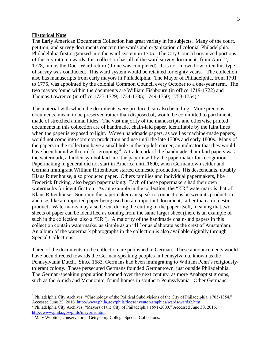#### **Historical Note**

 $\overline{a}$ 

The Early American Documents Collection has great variety in its subjects. Many of the court, petition, and survey documents concern the wards and organization of colonial Philadelphia. Philadelphia first organized into the ward system in 1705. The City Council organized portions of the city into ten wards; this collection has all of the ward survey documents from April 2, 1728, minus the Dock Ward return (if one was completed). It is not known how often this type of survey was conducted. This ward system would be retained for eighty years.<sup>1</sup> The collection also has manuscripts from early mayors in Philadelphia. The Mayor of Philadelphia, from 1701 to 1775, was appointed by the colonial Common Council every October to a one-year term. The two mayors found within the documents are William Fishbourn (in office 1719-1722) and Thomas Lawrence (in office 1727-1729; 1734-1735; 1749-1750; 1753-1754).<sup>2</sup>

The material with which the documents were produced can also be telling. More precious documents, meant to be preserved rather than disposed of, would be committed to parchment, made of stretched animal hides. The vast majority of the manuscripts and otherwise printed documents in this collection are of handmade, chain-laid paper, identifiable by the faint lines when the paper is exposed to light. Woven handmade papers, as well as machine-made papers, would not come into common production and use until the late 1700s and early 1800s. Many of the papers in the collection have a small hole in the top left corner, an indicator that they would have been bound with cord for grouping.<sup>3</sup> A trademark of the handmade chain-laid papers was the watermark, a hidden symbol laid into the paper itself by the papermaker for recognition. Papermaking in general did not start in America until 1690, when Germantown settler and German immigrant William Rittenhouse started domestic production. His descendants, notably Klaus Rittenhouse, also produced paper. Others families and individual papermakers, like Frederick Bicking, also began papermaking. Each of these papermakers had their own watermarks for identification. As an example in the collection, the "KR" watermark is that of Klaus Rittenhouse. Sourcing the papermaker can speak to connections between its production and use, like an imported paper being used on an important document, rather than a domestic product. Watermarks may also be cut during the cutting of the paper itself, meaning that two sheets of paper can be identified as coming from the same larger sheet (there is an example of such in the collection, also a "KR"). A majority of the handmade chain-laid papers in this collection contain watermarks, as simple as an "H" or as elaborate as the crest of Amsterdam. An album of the watermark photographs in the collection is also available digitally through Special Collections.

Three of the documents in the collection are published in German. These announcements would have been directed towards the German-speaking peoples in Pennsylvania, known as the Pennsylvania Dutch. Since 1683, Germans had been immigrating to William Penn's religiouslytolerant colony. These persecuted Germans founded Germantown, just outside Philadelphia. The German-speaking population boomed over the next century, as more Anabaptist groups, such as the Amish and Mennonite, found homes in southern Pennsylvania. Other Germans,

<sup>&</sup>lt;sup>1</sup> Philadelphia City Archives. "Chronology of the Political Subdivisions of the City of Philadelphia, 1705-1854." Accessed June 25, 2016.<http://www.phila.gov/phils/docs/inventor/graphics/wards/wards2.htm>

<sup>&</sup>lt;sup>2</sup> Philadelphia City Archives. "Mayors of the City of Philadelphia 1691-2000." Accessed June 30, 2016. [http://www.phila.gov/phils/mayorlst.htm.](http://www.phila.gov/phils/mayorlst.htm)

<sup>&</sup>lt;sup>3</sup> Mary Wootten, conservator at Gettysburg College Special Collections.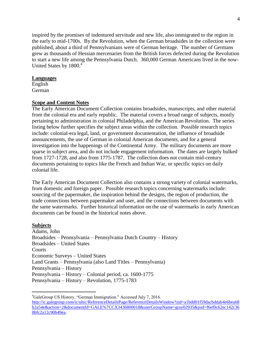inspired by the promises of indentured servitude and new life, also immigrated to the region in the early to mid-1700s. By the Revolution, when the German broadsides in the collection were published, about a third of Pennsylvanians were of German heritage. The number of Germans grew as thousands of Hessian mercenaries from the British forces defected during the Revolution to start a new life among the Pennsylvania Dutch. 360,000 German Americans lived in the now-United States by 1800.<sup>4</sup>

#### **Languages**

English German

### **Scope and Content Notes**

The Early American Document Collection contains broadsides, manuscripts, and other material from the colonial era and early republic. The material covers a broad range of subjects, mostly pertaining to administration in colonial Philadelphia, and the American Revolution. The series listing below further specifies the subject areas within the collection. Possible research topics include: colonial-era legal, land, or government documentation, the influence of broadside announcements, the use of German in colonial American documents, and for a general investigation into the happenings of the Continental Army. The military documents are more sparse in subject area, and do not include engagement information. The dates are largely bulked from 1727-1728, and also from 1775-1787. The collection does not contain mid-century documents pertaining to topics like the French and Indian War, or specific topics on daily colonial life.

The Early American Document Collection also contains a strong variety of colonial watermarks, from domestic and foreign paper. Possible research topics concerning watermarks include: sourcing of the papermaker, the inspiration behind the designs, the region of production, the trade connections between papermaker and user, and the connections between documents with the same watermarks. Further historical information on the use of watermarks in early American documents can be found in the historical notes above.

### **Subjects**

 $\overline{a}$ 

Adams, John Broadsides – Pennsylvania – Pennsylvania Dutch Country – History Broadsides – United States **Courts** Economic Surveys – United States Land Grants – Pennsylvania (also Land Titles – Pennsylvania) Pennsylvania – History Pennsylvania – History – Colonial period, ca. 1600-1775 Pennsylvania – History – Revolution, 1775-1783

<sup>4</sup>GaleGroup US History. "German Immigration." Accessed July 7, 2016. [http://ic.galegroup.com/ic/uhic/ReferenceDetailsPage/ReferenceDetailsWindow?zid=a1bdd01f59dacbddab4e6bea68](http://ic.galegroup.com/ic/uhic/ReferenceDetailsPage/ReferenceDetailsWindow?zid=a1bdd01f59dacbddab4e6bea68b2a54e&action=2&documentId=GALE%7CCX3436800018&userGroupName=gray02935&jsid=f6ef0c62ec142c368bfc2a12c90b49ea) [b2a54e&action=2&documentId=GALE%7CCX3436800018&userGroupName=gray02935&jsid=f6ef0c62ec142c36](http://ic.galegroup.com/ic/uhic/ReferenceDetailsPage/ReferenceDetailsWindow?zid=a1bdd01f59dacbddab4e6bea68b2a54e&action=2&documentId=GALE%7CCX3436800018&userGroupName=gray02935&jsid=f6ef0c62ec142c368bfc2a12c90b49ea) [8bfc2a12c90b49ea.](http://ic.galegroup.com/ic/uhic/ReferenceDetailsPage/ReferenceDetailsWindow?zid=a1bdd01f59dacbddab4e6bea68b2a54e&action=2&documentId=GALE%7CCX3436800018&userGroupName=gray02935&jsid=f6ef0c62ec142c368bfc2a12c90b49ea)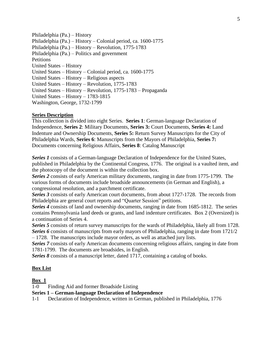Philadelphia (Pa.) – History Philadelphia (Pa.) – History – Colonial period, ca. 1600-1775 Philadelphia (Pa.) – History – Revolution, 1775-1783 Philadelphia (Pa.) – Politics and government **Petitions** United States – History United States – History – Colonial period, ca. 1600-1775 United States – History – Religious aspects United States – History – Revolution, 1775-1783 United States – History – Revolution, 1775-1783 – Propaganda United States – History – 1783-1815 Washington, George, 1732-1799

### **Series Description**

This collection is divided into eight Series. **Series 1**: German-language Declaration of Independence, **Series 2**: Military Documents, **Series 3:** Court Documents, **Series 4:** Land Indenture and Ownership Documents, **Series 5:** Return Survey Manuscripts for the City of Philadelphia Wards, **Series 6**: Manuscripts from the Mayors of Philadelphia, **Series 7:**  Documents concerning Religious Affairs, **Series 8**: Catalog Manuscript

*Series 1* consists of a German-language Declaration of Independence for the United States, published in Philadelphia by the Continental Congress, 1776. The original is a vaulted item, and the photocopy of the document is within the collection box.

*Series 2* consists of early American military documents, ranging in date from 1775-1799. The various forms of documents include broadside announcements (in German and English), a congressional resolution, and a parchment certificate.

**Series 3** consists of early American court documents, from about 1727-1728. The records from Philadelphia are general court reports and "Quarter Session" petitions.

*Series 4* consists of land and ownership documents, ranging in date from 1685-1812. The series contains Pennsylvania land deeds or grants, and land indenture certificates. Box 2 (Oversized) is a continuation of Series 4.

*Series 5* consists of return survey manuscripts for the wards of Philadelphia, likely all from 1728. *Series 6* consists of manuscripts from early mayors of Philadelphia, ranging in date from 1721/2

– 1728. The manuscripts include mayor orders, as well as attached jury lists.

*Series 7* consists of early American documents concerning religious affairs, ranging in date from 1781-1799. The documents are broadsides, in English.

*Series 8* consists of a manuscript letter, dated 1717, containing a catalog of books.

#### **Box List**

#### **Box 1**

1-0 Finding Aid and former Broadside Listing

### **Series 1 – German-language Declaration of Independence**

1-1 Declaration of Independence, written in German, published in Philadelphia, 1776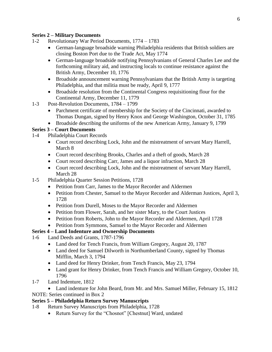## **Series 2 – Military Documents**

- 1-2 Revolutionary War Period Documents, 1774 1783
	- German-language broadside warning Philadelphia residents that British soldiers are closing Boston Port due to the Trade Act, May 1774
	- German-language broadside notifying Pennsylvanians of General Charles Lee and the forthcoming military aid, and instructing locals to continue resistance against the British Army, December 10, 1776
	- Broadside announcement warning Pennsylvanians that the British Army is targeting Philadelphia, and that militia must be ready, April 9, 1777
	- Broadside resolution from the Continental Congress requisitioning flour for the Continental Army, December 11, 1779
- 1-3 Post-Revolution Documents, 1784 1799
	- Parchment certificate of membership for the Society of the Cincinnati, awarded to Thomas Dungan, signed by Henry Knox and George Washington, October 31, 1785
	- Broadside describing the uniforms of the new American Army, January 9, 1799

# **Series 3 – Court Documents**

- 1-4 Philadelphia Court Records
	- Court record describing Lock, John and the mistreatment of servant Mary Harrell, March 8
	- Court record describing Brooks, Charles and a theft of goods, March 28
	- Court record describing Carr, James and a liquor infraction, March 28
	- Court record describing Lock, John and the mistreatment of servant Mary Harrell, March 28
- 1-5 Philadelphia Quarter Session Petitions, 1728
	- Petition from Carr, James to the Mayor Recorder and Aldermen
	- Petition from Chester, Samuel to the Mayor Recorder and Alderman Justices, April 3, 1728
	- Petition from Durell, Moses to the Mayor Recorder and Aldermen
	- Petition from Flower, Sarah, and her sister Mary, to the Court Justices
	- Petition from Roberts, John to the Mayor Recorder and Aldermen, April 1728
	- Petition from Symmons, Samuel to the Mayor Recorder and Aldermen

# **Series 4 – Land Indenture and Ownership Documents**

- 1-6 Land Deeds and Grants, 1787-1796
	- Land deed for Tench Francis, from William Gregory, August 20, 1787
	- Land deed for Samuel Dilworth in Northumberland County, signed by Thomas Mifflin, March 3, 1794
	- Land deed for Henry Drinker, from Tench Francis, May 23, 1794
	- Land grant for Henry Drinker, from Tench Francis and William Gregory, October 10, 1796
- 1-7 Land Indenture, 1812

 Land indenture for John Beard, from Mr. and Mrs. Samuel Miller, February 15, 1812 NOTE: Series continued in Box 2

# **Series 5 – Philadelphia Return Survey Manuscripts**

1-8 Return Survey Manuscripts from Philadelphia, 1728

• Return Survey for the "Chosnot" [Chestnut] Ward, undated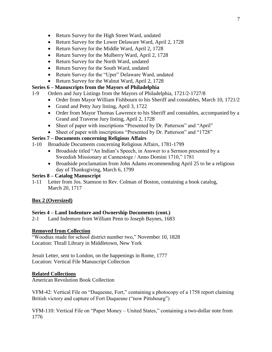- Return Survey for the High Street Ward, undated
- Return Survey for the Lower Delaware Ward, April 2, 1728
- Return Survey for the Middle Ward, April 2, 1728
- Return Survey for the Mulberry Ward, April 2, 1728
- Return Survey for the North Ward, undated
- Return Survey for the South Ward, undated
- Return Survey for the "Uper" Delaware Ward, undated
- Return Survey for the Walnut Ward, April 2, 1728

# **Series 6 – Manuscripts from the Mayors of Philadelphia**

- 1-9 Orders and Jury Listings from the Mayors of Philadelphia, 1721/2-1727/8
	- Order from Mayor William Fishbourn to his Sheriff and constables, March 10, 1721/2
	- Grand and Petty Jury listing, April 3, 1722
	- Order from Mayor Thomas Lawrence to his Sheriff and constables, accompanied by a Grand and Traverse Jury listing, April 2, 1728
	- Sheet of paper with inscriptions "Presented by Dr. Patterson" and "April"
	- Sheet of paper with inscriptions "Presented by Dr. Patterson" and "1728"

# **Series 7 – Documents concerning Religious Affairs**

- 1-10 Broadside Documents concerning Religious Affairs, 1781-1799
	- Broadside titled "An Indian's Speech, in Answer to a Sermon presented by a Sweedish Missionary at Cannestoge / Anno Domini 1710," 1781
	- Broadside proclamation from John Adams recommending April 25 to be a religious day of Thanksgiving, March 6, 1799

## **Series 8 – Catalog Manuscript**

1-11 Letter from Jos. Stamson to Rev. Colman of Boston, containing a book catalog, March 20, 1717

# **Box 2 (Oversized)**

### **Series 4 – Land Indenture and Ownership Documents (cont.)**

2-1 Land Indenture from William Penn to Joseph Baynes, 1683

### **Removed from Collection**

"Woodtax made for school district number two," November 10, 1828 Location: Thrall Library in Middletown, New York

Jesuit Letter, sent to London, on the happenings in Rome, 1777 Location: Vertical File Manuscript Collection

### **Related Collections**

American Revolution Book Collection

VFM-42: Vertical File on "Duquesne, Fort," containing a photocopy of a 1758 report claiming British victory and capture of Fort Duquesne ("now Pittsbourg")

VFM-110: Vertical File on "Paper Money – United States," containing a two-dollar note from 1776